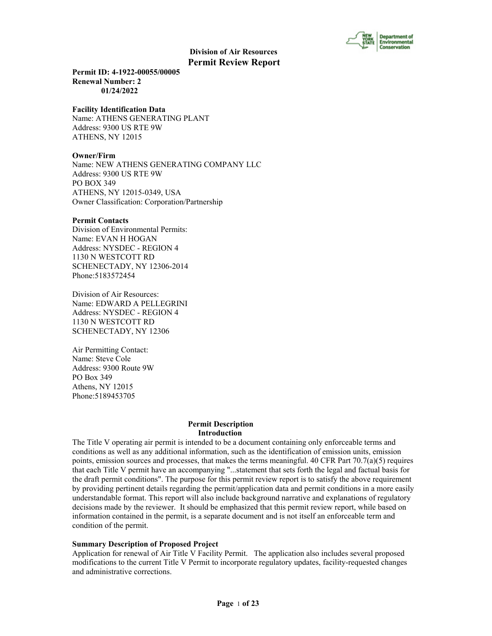

**Permit ID: 4-1922-00055/00005 Renewal Number: 2 01/24/2022**

#### **Facility Identification Data**

Name: ATHENS GENERATING PLANT Address: 9300 US RTE 9W ATHENS, NY 12015

#### **Owner/Firm**

Name: NEW ATHENS GENERATING COMPANY LLC Address: 9300 US RTE 9W PO BOX 349 ATHENS, NY 12015-0349, USA Owner Classification: Corporation/Partnership

#### **Permit Contacts**

Division of Environmental Permits: Name: EVAN H HOGAN Address: NYSDEC - REGION 4 1130 N WESTCOTT RD SCHENECTADY, NY 12306-2014 Phone:5183572454

Division of Air Resources: Name: EDWARD A PELLEGRINI Address: NYSDEC - REGION 4 1130 N WESTCOTT RD SCHENECTADY, NY 12306

Air Permitting Contact: Name: Steve Cole Address: 9300 Route 9W PO Box 349 Athens, NY 12015 Phone:5189453705

## **Permit Description Introduction**

The Title V operating air permit is intended to be a document containing only enforceable terms and conditions as well as any additional information, such as the identification of emission units, emission points, emission sources and processes, that makes the terms meaningful. 40 CFR Part  $70.7(a)(5)$  requires that each Title V permit have an accompanying "...statement that sets forth the legal and factual basis for the draft permit conditions". The purpose for this permit review report is to satisfy the above requirement by providing pertinent details regarding the permit/application data and permit conditions in a more easily understandable format. This report will also include background narrative and explanations of regulatory decisions made by the reviewer. It should be emphasized that this permit review report, while based on information contained in the permit, is a separate document and is not itself an enforceable term and condition of the permit.

## **Summary Description of Proposed Project**

Application for renewal of Air Title V Facility Permit. The application also includes several proposed modifications to the current Title V Permit to incorporate regulatory updates, facility-requested changes and administrative corrections.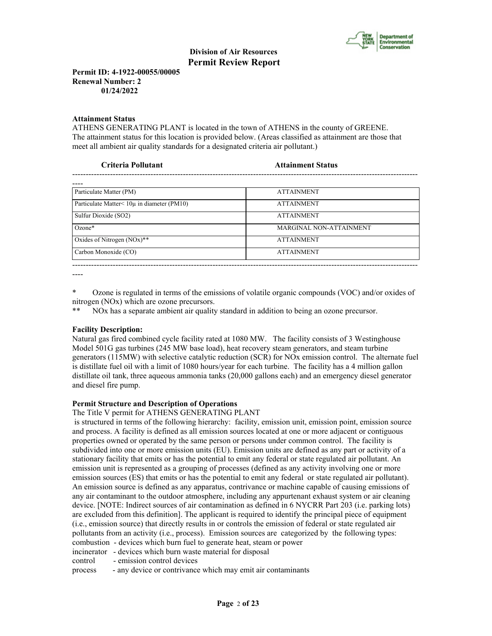

**Permit ID: 4-1922-00055/00005 Renewal Number: 2 01/24/2022**

## **Attainment Status**

ATHENS GENERATING PLANT is located in the town of ATHENS in the county of GREENE. The attainment status for this location is provided below. (Areas classified as attainment are those that meet all ambient air quality standards for a designated criteria air pollutant.)

| Criteria Pollutant                                 | <b>Attainment Status</b>       |  |
|----------------------------------------------------|--------------------------------|--|
|                                                    |                                |  |
| Particulate Matter (PM)                            | <b>ATTAINMENT</b>              |  |
| Particulate Matter $\leq 10\mu$ in diameter (PM10) | <b>ATTAINMENT</b>              |  |
| Sulfur Dioxide (SO2)                               | <b>ATTAINMENT</b>              |  |
| $Ozone*$                                           | <b>MARGINAL NON-ATTAINMENT</b> |  |
| Oxides of Nitrogen $(NOx)**$                       | <b>ATTAINMENT</b>              |  |
| Carbon Monoxide (CO)                               | <b>ATTAINMENT</b>              |  |

\* Ozone is regulated in terms of the emissions of volatile organic compounds (VOC) and/or oxides of nitrogen (NOx) which are ozone precursors.

--------------------------------------------------------------------------------------------------------------------------------

NOx has a separate ambient air quality standard in addition to being an ozone precursor.

## **Facility Description:**

----

Natural gas fired combined cycle facility rated at 1080 MW. The facility consists of 3 Westinghouse Model 501G gas turbines (245 MW base load), heat recovery steam generators, and steam turbine generators (115MW) with selective catalytic reduction (SCR) for NOx emission control. The alternate fuel is distillate fuel oil with a limit of 1080 hours/year for each turbine. The facility has a 4 million gallon distillate oil tank, three aqueous ammonia tanks (20,000 gallons each) and an emergency diesel generator and diesel fire pump.

## **Permit Structure and Description of Operations**

The Title V permit for ATHENS GENERATING PLANT

 is structured in terms of the following hierarchy: facility, emission unit, emission point, emission source and process. A facility is defined as all emission sources located at one or more adjacent or contiguous properties owned or operated by the same person or persons under common control. The facility is subdivided into one or more emission units (EU). Emission units are defined as any part or activity of a stationary facility that emits or has the potential to emit any federal or state regulated air pollutant. An emission unit is represented as a grouping of processes (defined as any activity involving one or more emission sources (ES) that emits or has the potential to emit any federal or state regulated air pollutant). An emission source is defined as any apparatus, contrivance or machine capable of causing emissions of any air contaminant to the outdoor atmosphere, including any appurtenant exhaust system or air cleaning device. [NOTE: Indirect sources of air contamination as defined in 6 NYCRR Part 203 (i.e. parking lots) are excluded from this definition]. The applicant is required to identify the principal piece of equipment (i.e., emission source) that directly results in or controls the emission of federal or state regulated air pollutants from an activity (i.e., process). Emission sources are categorized by the following types: combustion - devices which burn fuel to generate heat, steam or power incinerator - devices which burn waste material for disposal

control - emission control devices

process - any device or contrivance which may emit air contaminants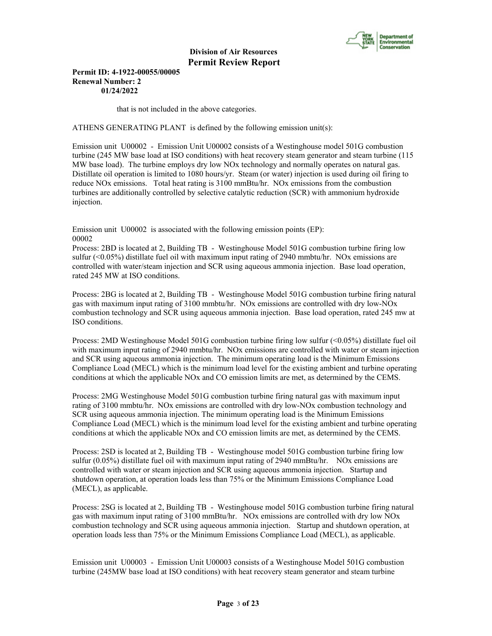

**Permit ID: 4-1922-00055/00005 Renewal Number: 2 01/24/2022**

that is not included in the above categories.

ATHENS GENERATING PLANT is defined by the following emission unit(s):

Emission unit U00002 - Emission Unit U00002 consists of a Westinghouse model 501G combustion turbine (245 MW base load at ISO conditions) with heat recovery steam generator and steam turbine (115 MW base load). The turbine employs dry low NOx technology and normally operates on natural gas. Distillate oil operation is limited to 1080 hours/yr. Steam (or water) injection is used during oil firing to reduce NOx emissions. Total heat rating is 3100 mmBtu/hr. NOx emissions from the combustion turbines are additionally controlled by selective catalytic reduction (SCR) with ammonium hydroxide injection.

Emission unit U00002 is associated with the following emission points (EP): 00002

Process: 2BD is located at 2, Building TB - Westinghouse Model 501G combustion turbine firing low sulfur (<0.05%) distillate fuel oil with maximum input rating of 2940 mmbtu/hr. NOx emissions are controlled with water/steam injection and SCR using aqueous ammonia injection. Base load operation, rated 245 MW at ISO conditions.

Process: 2BG is located at 2, Building TB - Westinghouse Model 501G combustion turbine firing natural gas with maximum input rating of 3100 mmbtu/hr. NOx emissions are controlled with dry low-NOx combustion technology and SCR using aqueous ammonia injection. Base load operation, rated 245 mw at ISO conditions.

Process: 2MD Westinghouse Model 501G combustion turbine firing low sulfur (<0.05%) distillate fuel oil with maximum input rating of 2940 mmbtu/hr. NOx emissions are controlled with water or steam injection and SCR using aqueous ammonia injection. The minimum operating load is the Minimum Emissions Compliance Load (MECL) which is the minimum load level for the existing ambient and turbine operating conditions at which the applicable NOx and CO emission limits are met, as determined by the CEMS.

Process: 2MG Westinghouse Model 501G combustion turbine firing natural gas with maximum input rating of 3100 mmbtu/hr. NOx emissions are controlled with dry low-NOx combustion technology and SCR using aqueous ammonia injection. The minimum operating load is the Minimum Emissions Compliance Load (MECL) which is the minimum load level for the existing ambient and turbine operating conditions at which the applicable NOx and CO emission limits are met, as determined by the CEMS.

Process: 2SD is located at 2, Building TB - Westinghouse model 501G combustion turbine firing low sulfur (0.05%) distillate fuel oil with maximum input rating of 2940 mmBtu/hr. NOx emissions are controlled with water or steam injection and SCR using aqueous ammonia injection. Startup and shutdown operation, at operation loads less than 75% or the Minimum Emissions Compliance Load (MECL), as applicable.

Process: 2SG is located at 2, Building TB - Westinghouse model 501G combustion turbine firing natural gas with maximum input rating of 3100 mmBtu/hr. NOx emissions are controlled with dry low NOx combustion technology and SCR using aqueous ammonia injection. Startup and shutdown operation, at operation loads less than 75% or the Minimum Emissions Compliance Load (MECL), as applicable.

Emission unit U00003 - Emission Unit U00003 consists of a Westinghouse Model 501G combustion turbine (245MW base load at ISO conditions) with heat recovery steam generator and steam turbine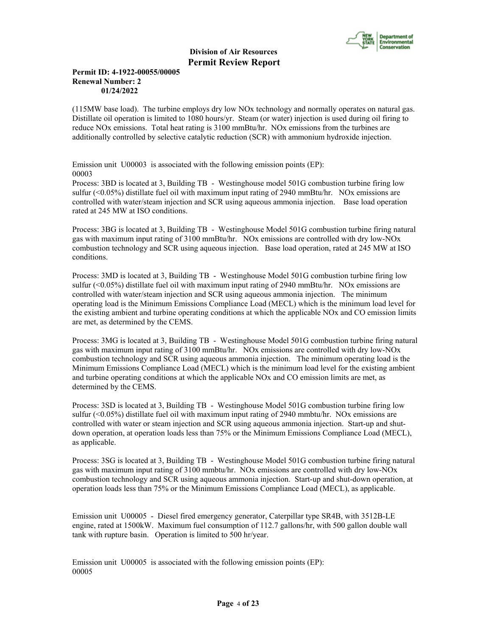

# **Permit ID: 4-1922-00055/00005 Renewal Number: 2 01/24/2022**

(115MW base load). The turbine employs dry low NOx technology and normally operates on natural gas. Distillate oil operation is limited to 1080 hours/yr. Steam (or water) injection is used during oil firing to reduce NOx emissions. Total heat rating is 3100 mmBtu/hr. NOx emissions from the turbines are additionally controlled by selective catalytic reduction (SCR) with ammonium hydroxide injection.

Emission unit U00003 is associated with the following emission points (EP): 00003

Process: 3BD is located at 3, Building TB - Westinghouse model 501G combustion turbine firing low sulfur (<0.05%) distillate fuel oil with maximum input rating of 2940 mmBtu/hr. NOx emissions are controlled with water/steam injection and SCR using aqueous ammonia injection. Base load operation rated at 245 MW at ISO conditions.

Process: 3BG is located at 3, Building TB - Westinghouse Model 501G combustion turbine firing natural gas with maximum input rating of 3100 mmBtu/hr. NOx emissions are controlled with dry low-NOx combustion technology and SCR using aqueous injection. Base load operation, rated at 245 MW at ISO conditions.

Process: 3MD is located at 3, Building TB - Westinghouse Model 501G combustion turbine firing low sulfur (<0.05%) distillate fuel oil with maximum input rating of 2940 mmBtu/hr. NOx emissions are controlled with water/steam injection and SCR using aqueous ammonia injection. The minimum operating load is the Minimum Emissions Compliance Load (MECL) which is the minimum load level for the existing ambient and turbine operating conditions at which the applicable NOx and CO emission limits are met, as determined by the CEMS.

Process: 3MG is located at 3, Building TB - Westinghouse Model 501G combustion turbine firing natural gas with maximum input rating of 3100 mmBtu/hr. NOx emissions are controlled with dry low-NOx combustion technology and SCR using aqueous ammonia injection. The minimum operating load is the Minimum Emissions Compliance Load (MECL) which is the minimum load level for the existing ambient and turbine operating conditions at which the applicable NOx and CO emission limits are met, as determined by the CEMS.

Process: 3SD is located at 3, Building TB - Westinghouse Model 501G combustion turbine firing low sulfur (<0.05%) distillate fuel oil with maximum input rating of 2940 mmbtu/hr. NOx emissions are controlled with water or steam injection and SCR using aqueous ammonia injection. Start-up and shutdown operation, at operation loads less than 75% or the Minimum Emissions Compliance Load (MECL), as applicable.

Process: 3SG is located at 3, Building TB - Westinghouse Model 501G combustion turbine firing natural gas with maximum input rating of 3100 mmbtu/hr. NOx emissions are controlled with dry low-NOx combustion technology and SCR using aqueous ammonia injection. Start-up and shut-down operation, at operation loads less than 75% or the Minimum Emissions Compliance Load (MECL), as applicable.

Emission unit U00005 - Diesel fired emergency generator, Caterpillar type SR4B, with 3512B-LE engine, rated at 1500kW. Maximum fuel consumption of 112.7 gallons/hr, with 500 gallon double wall tank with rupture basin. Operation is limited to 500 hr/year.

Emission unit U00005 is associated with the following emission points (EP): 00005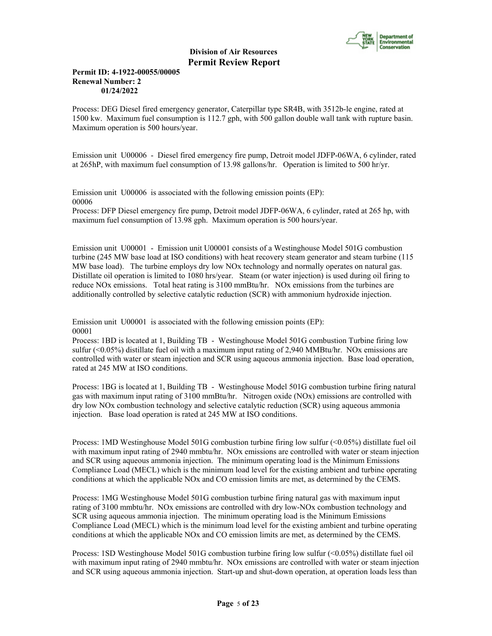

## **Permit ID: 4-1922-00055/00005 Renewal Number: 2 01/24/2022**

Process: DEG Diesel fired emergency generator, Caterpillar type SR4B, with 3512b-le engine, rated at 1500 kw. Maximum fuel consumption is 112.7 gph, with 500 gallon double wall tank with rupture basin. Maximum operation is 500 hours/year.

Emission unit U00006 - Diesel fired emergency fire pump, Detroit model JDFP-06WA, 6 cylinder, rated at 265hP, with maximum fuel consumption of 13.98 gallons/hr. Operation is limited to 500 hr/yr.

Emission unit U00006 is associated with the following emission points (EP): 00006

Process: DFP Diesel emergency fire pump, Detroit model JDFP-06WA, 6 cylinder, rated at 265 hp, with maximum fuel consumption of 13.98 gph. Maximum operation is 500 hours/year.

Emission unit U00001 - Emission unit U00001 consists of a Westinghouse Model 501G combustion turbine (245 MW base load at ISO conditions) with heat recovery steam generator and steam turbine (115 MW base load). The turbine employs dry low NOx technology and normally operates on natural gas. Distillate oil operation is limited to 1080 hrs/year. Steam (or water injection) is used during oil firing to reduce NOx emissions. Total heat rating is 3100 mmBtu/hr. NOx emissions from the turbines are additionally controlled by selective catalytic reduction (SCR) with ammonium hydroxide injection.

Emission unit U00001 is associated with the following emission points (EP): 00001

Process: 1BD is located at 1, Building TB - Westinghouse Model 501G combustion Turbine firing low sulfur (<0.05%) distillate fuel oil with a maximum input rating of 2,940 MMBtu/hr. NOx emissions are controlled with water or steam injection and SCR using aqueous ammonia injection. Base load operation, rated at 245 MW at ISO conditions.

Process: 1BG is located at 1, Building TB - Westinghouse Model 501G combustion turbine firing natural gas with maximum input rating of 3100 mmBtu/hr. Nitrogen oxide (NOx) emissions are controlled with dry low NOx combustion technology and selective catalytic reduction (SCR) using aqueous ammonia injection. Base load operation is rated at 245 MW at ISO conditions.

Process: 1MD Westinghouse Model 501G combustion turbine firing low sulfur (<0.05%) distillate fuel oil with maximum input rating of 2940 mmbtu/hr. NOx emissions are controlled with water or steam injection and SCR using aqueous ammonia injection. The minimum operating load is the Minimum Emissions Compliance Load (MECL) which is the minimum load level for the existing ambient and turbine operating conditions at which the applicable NOx and CO emission limits are met, as determined by the CEMS.

Process: 1MG Westinghouse Model 501G combustion turbine firing natural gas with maximum input rating of 3100 mmbtu/hr. NOx emissions are controlled with dry low-NOx combustion technology and SCR using aqueous ammonia injection. The minimum operating load is the Minimum Emissions Compliance Load (MECL) which is the minimum load level for the existing ambient and turbine operating conditions at which the applicable NOx and CO emission limits are met, as determined by the CEMS.

Process: 1SD Westinghouse Model 501G combustion turbine firing low sulfur (<0.05%) distillate fuel oil with maximum input rating of 2940 mmbtu/hr. NOx emissions are controlled with water or steam injection and SCR using aqueous ammonia injection. Start-up and shut-down operation, at operation loads less than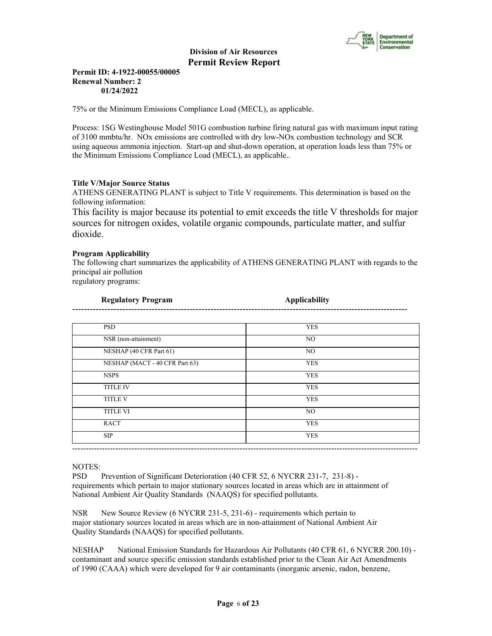

## **Permit ID: 4-1922-00055/00005 Renewal Number: 2 01/24/2022**

75% or the Minimum Emissions Compliance Load (MECL), as applicable.

Process: 1SG Westinghouse Model 501G combustion turbine firing natural gas with maximum input rating of 3100 mmbtu/hr. NOx emissions are controlled with dry low-NOx combustion technology and SCR using aqueous ammonia injection. Start-up and shut-down operation, at operation loads less than 75% or the Minimum Emissions Compliance Load (MECL), as applicable..

# **Title V/Major Source Status**

ATHENS GENERATING PLANT is subject to Title V requirements. This determination is based on the following information:

This facility is major because its potential to emit exceeds the title V thresholds for major sources for nitrogen oxides, volatile organic compounds, particulate matter, and sulfur dioxide.

# **Program Applicability**

The following chart summarizes the applicability of ATHENS GENERATING PLANT with regards to the principal air pollution regulatory programs:

| Regulatory Program | <b>Applicability</b> |
|--------------------|----------------------|
| ----               |                      |

| <b>PSD</b>                     | <b>YES</b> |
|--------------------------------|------------|
| NSR (non-attainment)           | NO.        |
| NESHAP (40 CFR Part 61)        | NO.        |
| NESHAP (MACT - 40 CFR Part 63) | <b>YES</b> |
| <b>NSPS</b>                    | <b>YES</b> |
| <b>TITLE IV</b>                | <b>YES</b> |
| <b>TITLE V</b>                 | <b>YES</b> |
| <b>TITLE VI</b>                | NO.        |
| <b>RACT</b>                    | <b>YES</b> |
| <b>SIP</b>                     | <b>YES</b> |

## NOTES:

PSD Prevention of Significant Deterioration (40 CFR 52, 6 NYCRR 231-7, 231-8) requirements which pertain to major stationary sources located in areas which are in attainment of National Ambient Air Quality Standards (NAAQS) for specified pollutants.

NSR New Source Review (6 NYCRR 231-5, 231-6) - requirements which pertain to major stationary sources located in areas which are in non-attainment of National Ambient Air Quality Standards (NAAQS) for specified pollutants.

NESHAP National Emission Standards for Hazardous Air Pollutants (40 CFR 61, 6 NYCRR 200.10) contaminant and source specific emission standards established prior to the Clean Air Act Amendments of 1990 (CAAA) which were developed for 9 air contaminants (inorganic arsenic, radon, benzene,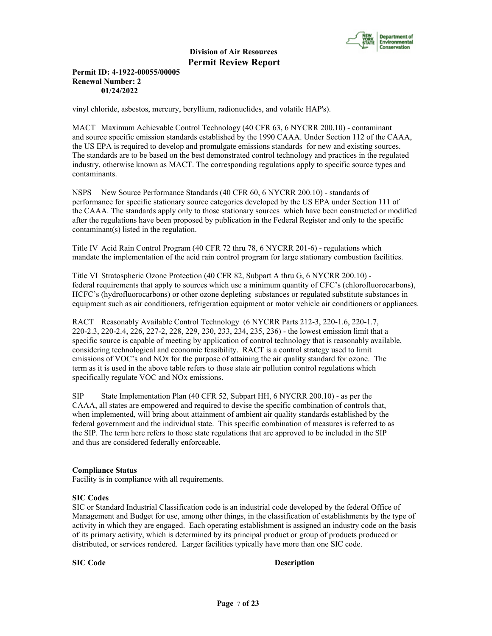

## **Permit ID: 4-1922-00055/00005 Renewal Number: 2 01/24/2022**

vinyl chloride, asbestos, mercury, beryllium, radionuclides, and volatile HAP's).

MACT Maximum Achievable Control Technology (40 CFR 63, 6 NYCRR 200.10) - contaminant and source specific emission standards established by the 1990 CAAA. Under Section 112 of the CAAA, the US EPA is required to develop and promulgate emissions standards for new and existing sources. The standards are to be based on the best demonstrated control technology and practices in the regulated industry, otherwise known as MACT. The corresponding regulations apply to specific source types and contaminants.

NSPS New Source Performance Standards (40 CFR 60, 6 NYCRR 200.10) - standards of performance for specific stationary source categories developed by the US EPA under Section 111 of the CAAA. The standards apply only to those stationary sources which have been constructed or modified after the regulations have been proposed by publication in the Federal Register and only to the specific contaminant(s) listed in the regulation.

Title IV Acid Rain Control Program (40 CFR 72 thru 78, 6 NYCRR 201-6) - regulations which mandate the implementation of the acid rain control program for large stationary combustion facilities.

Title VI Stratospheric Ozone Protection (40 CFR 82, Subpart A thru G, 6 NYCRR 200.10) federal requirements that apply to sources which use a minimum quantity of CFC's (chlorofluorocarbons), HCFC's (hydrofluorocarbons) or other ozone depleting substances or regulated substitute substances in equipment such as air conditioners, refrigeration equipment or motor vehicle air conditioners or appliances.

RACT Reasonably Available Control Technology (6 NYCRR Parts 212-3, 220-1.6, 220-1.7, 220-2.3, 220-2.4, 226, 227-2, 228, 229, 230, 233, 234, 235, 236) - the lowest emission limit that a specific source is capable of meeting by application of control technology that is reasonably available, considering technological and economic feasibility. RACT is a control strategy used to limit emissions of VOC's and NOx for the purpose of attaining the air quality standard for ozone. The term as it is used in the above table refers to those state air pollution control regulations which specifically regulate VOC and NOx emissions.

SIP State Implementation Plan (40 CFR 52, Subpart HH, 6 NYCRR 200.10) - as per the CAAA, all states are empowered and required to devise the specific combination of controls that, when implemented, will bring about attainment of ambient air quality standards established by the federal government and the individual state. This specific combination of measures is referred to as the SIP. The term here refers to those state regulations that are approved to be included in the SIP and thus are considered federally enforceable.

# **Compliance Status**

Facility is in compliance with all requirements.

## **SIC Codes**

SIC or Standard Industrial Classification code is an industrial code developed by the federal Office of Management and Budget for use, among other things, in the classification of establishments by the type of activity in which they are engaged. Each operating establishment is assigned an industry code on the basis of its primary activity, which is determined by its principal product or group of products produced or distributed, or services rendered. Larger facilities typically have more than one SIC code.

## **SIC Code** Description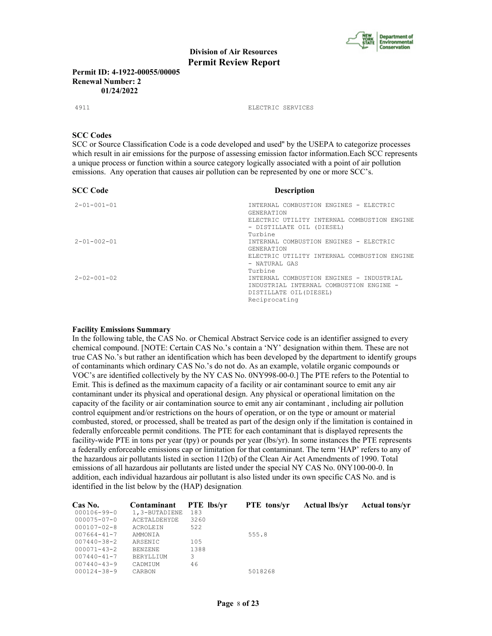

**Permit ID: 4-1922-00055/00005 Renewal Number: 2 01/24/2022**

4911 ELECTRIC SERVICES

#### **SCC Codes**

SCC or Source Classification Code is a code developed and used'' by the USEPA to categorize processes which result in air emissions for the purpose of assessing emission factor information.Each SCC represents a unique process or function within a source category logically associated with a point of air pollution emissions. Any operation that causes air pollution can be represented by one or more SCC's.

| <b>SCC Code</b>     | <b>Description</b>                                               |
|---------------------|------------------------------------------------------------------|
| $2 - 01 - 001 - 01$ | INTERNAL COMBUSTION ENGINES - ELECTRIC<br><b>GENERATION</b>      |
|                     | ELECTRIC UTILITY INTERNAL COMBUSTION ENGINE                      |
|                     | - DISTILLATE OIL (DIESEL)<br>Turbine                             |
| $2 - 01 - 002 - 01$ | INTERNAL COMBUSTION ENGINES - ELECTRIC                           |
|                     | <b>GENERATION</b><br>ELECTRIC UTILITY INTERNAL COMBUSTION ENGINE |
|                     | - NATURAL GAS<br>Turbine                                         |
| $2 - 02 - 001 - 02$ | INTERNAL COMBUSTION ENGINES - INDUSTRIAL                         |
|                     | INDUSTRIAL INTERNAL COMBUSTION ENGINE -                          |
|                     | DISTILLATE OIL (DIESEL)                                          |
|                     | Reciprocating                                                    |

#### **Facility Emissions Summary**

In the following table, the CAS No. or Chemical Abstract Service code is an identifier assigned to every chemical compound. [NOTE: Certain CAS No.'s contain a 'NY' designation within them. These are not true CAS No.'s but rather an identification which has been developed by the department to identify groups of contaminants which ordinary CAS No.'s do not do. As an example, volatile organic compounds or VOC's are identified collectively by the NY CAS No. 0NY998-00-0.] The PTE refers to the Potential to Emit. This is defined as the maximum capacity of a facility or air contaminant source to emit any air contaminant under its physical and operational design. Any physical or operational limitation on the capacity of the facility or air contamination source to emit any air contaminant , including air pollution control equipment and/or restrictions on the hours of operation, or on the type or amount or material combusted, stored, or processed, shall be treated as part of the design only if the limitation is contained in federally enforceable permit conditions. The PTE for each contaminant that is displayed represents the facility-wide PTE in tons per year (tpy) or pounds per year (lbs/yr). In some instances the PTE represents a federally enforceable emissions cap or limitation for that contaminant. The term 'HAP' refers to any of the hazardous air pollutants listed in section 112(b) of the Clean Air Act Amendments of 1990. Total emissions of all hazardous air pollutants are listed under the special NY CAS No. 0NY100-00-0. In addition, each individual hazardous air pollutant is also listed under its own specific CAS No. and is identified in the list below by the (HAP) designation.

| Cas No.           | Contaminant         | <b>PTE</b> lbs/vr | <b>PTE</b> tons/vr | <b>Actual lbs/vr</b> | <b>Actual tons/yr</b> |
|-------------------|---------------------|-------------------|--------------------|----------------------|-----------------------|
| 000106-99-0       | 1,3-BUTADIENE       | 183               |                    |                      |                       |
| 000075-07-0       | <b>ACETALDEHYDE</b> | 3260              |                    |                      |                       |
| 000107-02-8       | <b>ACROLETN</b>     | 522               |                    |                      |                       |
| 007664-41-7       | AMMONTA             |                   | 555.8              |                      |                       |
| 007440-38-2       | ARSENIC             | 105               |                    |                      |                       |
| $000071 - 43 - 2$ | <b>BENZENE</b>      | 1388              |                    |                      |                       |
| 007440-41-7       | BERYLLIUM           | 3                 |                    |                      |                       |
| $007440 - 43 - 9$ | CADMIUM             | 46                |                    |                      |                       |
| 000124-38-9       | CARBON              |                   | 5018268            |                      |                       |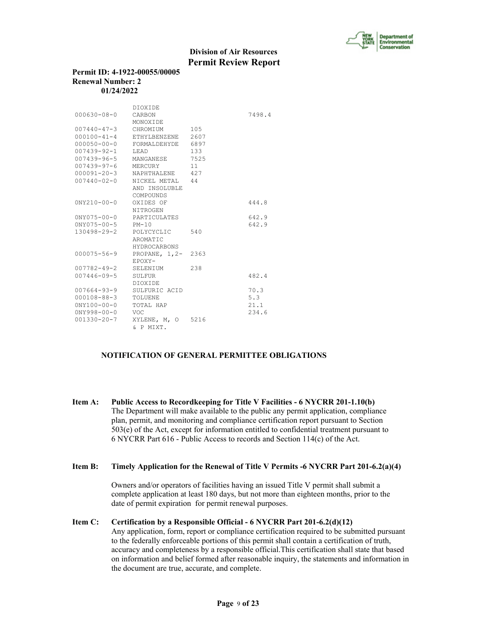

## **Permit ID: 4-1922-00055/00005 Renewal Number: 2 01/24/2022**

|                         | <b>DTOXTDE</b>             |      |        |
|-------------------------|----------------------------|------|--------|
| $000630 - 08 - 0$       | CARBON                     |      | 7498.4 |
|                         | MONOXTDE                   |      |        |
| 007440-47-3             | CHROMIUM                   | 105  |        |
| $000100 - 41 - 4$       | ETHYLBENZENE               | 2607 |        |
| $000050 - 00 - 0$       | FORMALDEHYDE 6897          |      |        |
| 007439-92-1 LEAD        |                            | 133  |        |
|                         | 007439-96-5 MANGANESE 7525 |      |        |
| 007439-97-6 MERCURY     |                            | 11   |        |
| 000091-20-3             | NAPHTHALENE 427            |      |        |
| 007440-02-0             | NICKEL METAL 44            |      |        |
|                         | AND INSOLUBLE              |      |        |
|                         | COMPOUNDS                  |      |        |
| $0NY210 - 00 - 0$       | OXIDES OF                  |      | 444.8  |
|                         | NITROGEN                   |      |        |
| $0NY075 - 00 - 0$       | PARTICULATES               |      | 642.9  |
| $0NY075 - 00 - 5$ PM-10 |                            |      | 642.9  |
| 130498-29-2             | POLYCYCLIC                 | 540  |        |
|                         | AROMATIC                   |      |        |
|                         | <b>HYDROCARBONS</b>        |      |        |
| 000075-56-9             | PROPANE, 1,2- 2363         |      |        |
|                         | EPOXY-                     |      |        |
| 007782-49-2             | SELENIUM                   | 238  |        |
| $007446 - 09 - 5$       | SULFUR                     |      | 482.4  |
|                         | DIOXIDE                    |      |        |
| 007664-93-9             | SULFURIC ACID              |      | 70.3   |
| 000108-88-3             | TOLUENE                    |      | 5.3    |
| $0NY100 - 00 - 0$       | TOTAL HAP                  |      | 21.1   |
| $0NY998 - 00 - 0$       | VOC.                       |      | 234.6  |
| $001330 - 20 - 7$       | XYLENE, M, O               | 5216 |        |
|                         | & P MIXT.                  |      |        |

# **NOTIFICATION OF GENERAL PERMITTEE OBLIGATIONS**

**Item A: Public Access to Recordkeeping for Title V Facilities - 6 NYCRR 201-1.10(b)** The Department will make available to the public any permit application, compliance plan, permit, and monitoring and compliance certification report pursuant to Section 503(e) of the Act, except for information entitled to confidential treatment pursuant to 6 NYCRR Part 616 - Public Access to records and Section 114(c) of the Act.

#### **Item B: Timely Application for the Renewal of Title V Permits -6 NYCRR Part 201-6.2(a)(4)**

 Owners and/or operators of facilities having an issued Title V permit shall submit a complete application at least 180 days, but not more than eighteen months, prior to the date of permit expiration for permit renewal purposes.

## **Item C: Certification by a Responsible Official - 6 NYCRR Part 201-6.2(d)(12)**

 Any application, form, report or compliance certification required to be submitted pursuant to the federally enforceable portions of this permit shall contain a certification of truth, accuracy and completeness by a responsible official.This certification shall state that based on information and belief formed after reasonable inquiry, the statements and information in the document are true, accurate, and complete.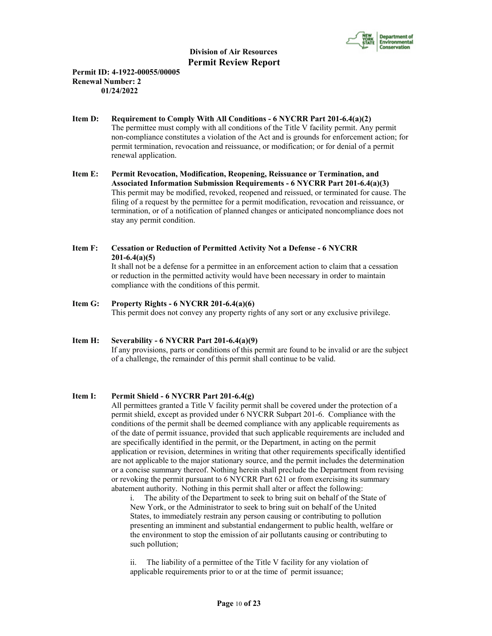

# **Permit ID: 4-1922-00055/00005 Renewal Number: 2 01/24/2022**

- **Item D: Requirement to Comply With All Conditions 6 NYCRR Part 201-6.4(a)(2)** The permittee must comply with all conditions of the Title V facility permit. Any permit non-compliance constitutes a violation of the Act and is grounds for enforcement action; for permit termination, revocation and reissuance, or modification; or for denial of a permit renewal application.
- **Item E: Permit Revocation, Modification, Reopening, Reissuance or Termination, and Associated Information Submission Requirements - 6 NYCRR Part 201-6.4(a)(3)** This permit may be modified, revoked, reopened and reissued, or terminated for cause. The filing of a request by the permittee for a permit modification, revocation and reissuance, or termination, or of a notification of planned changes or anticipated noncompliance does not stay any permit condition.

# **Item F: Cessation or Reduction of Permitted Activity Not a Defense - 6 NYCRR 201-6.4(a)(5)**

 It shall not be a defense for a permittee in an enforcement action to claim that a cessation or reduction in the permitted activity would have been necessary in order to maintain compliance with the conditions of this permit.

**Item G: Property Rights - 6 NYCRR 201-6.4(a)(6)** This permit does not convey any property rights of any sort or any exclusive privilege.

#### **Item H: Severability - 6 NYCRR Part 201-6.4(a)(9)** If any provisions, parts or conditions of this permit are found to be invalid or are the subject of a challenge, the remainder of this permit shall continue to be valid.

# **Item I: Permit Shield - 6 NYCRR Part 201-6.4(g)**

 All permittees granted a Title V facility permit shall be covered under the protection of a permit shield, except as provided under 6 NYCRR Subpart 201-6. Compliance with the conditions of the permit shall be deemed compliance with any applicable requirements as of the date of permit issuance, provided that such applicable requirements are included and are specifically identified in the permit, or the Department, in acting on the permit application or revision, determines in writing that other requirements specifically identified are not applicable to the major stationary source, and the permit includes the determination or a concise summary thereof. Nothing herein shall preclude the Department from revising or revoking the permit pursuant to 6 NYCRR Part 621 or from exercising its summary abatement authority. Nothing in this permit shall alter or affect the following:

i. The ability of the Department to seek to bring suit on behalf of the State of New York, or the Administrator to seek to bring suit on behalf of the United States, to immediately restrain any person causing or contributing to pollution presenting an imminent and substantial endangerment to public health, welfare or the environment to stop the emission of air pollutants causing or contributing to such pollution;

ii. The liability of a permittee of the Title V facility for any violation of applicable requirements prior to or at the time of permit issuance;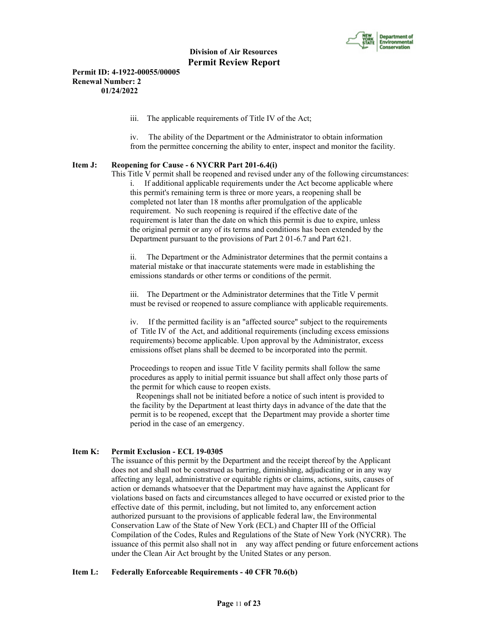

**Permit ID: 4-1922-00055/00005 Renewal Number: 2 01/24/2022**

iii. The applicable requirements of Title IV of the Act;

iv. The ability of the Department or the Administrator to obtain information from the permittee concerning the ability to enter, inspect and monitor the facility.

## **Item J: Reopening for Cause - 6 NYCRR Part 201-6.4(i)**

 This Title V permit shall be reopened and revised under any of the following circumstances: i. If additional applicable requirements under the Act become applicable where this permit's remaining term is three or more years, a reopening shall be completed not later than 18 months after promulgation of the applicable requirement. No such reopening is required if the effective date of the requirement is later than the date on which this permit is due to expire, unless the original permit or any of its terms and conditions has been extended by the Department pursuant to the provisions of Part 2 01-6.7 and Part 621.

ii. The Department or the Administrator determines that the permit contains a material mistake or that inaccurate statements were made in establishing the emissions standards or other terms or conditions of the permit.

iii. The Department or the Administrator determines that the Title V permit must be revised or reopened to assure compliance with applicable requirements.

iv. If the permitted facility is an "affected source" subject to the requirements of Title IV of the Act, and additional requirements (including excess emissions requirements) become applicable. Upon approval by the Administrator, excess emissions offset plans shall be deemed to be incorporated into the permit.

Proceedings to reopen and issue Title V facility permits shall follow the same procedures as apply to initial permit issuance but shall affect only those parts of the permit for which cause to reopen exists.

 Reopenings shall not be initiated before a notice of such intent is provided to the facility by the Department at least thirty days in advance of the date that the permit is to be reopened, except that the Department may provide a shorter time period in the case of an emergency.

## **Item K: Permit Exclusion - ECL 19-0305**

 The issuance of this permit by the Department and the receipt thereof by the Applicant does not and shall not be construed as barring, diminishing, adjudicating or in any way affecting any legal, administrative or equitable rights or claims, actions, suits, causes of action or demands whatsoever that the Department may have against the Applicant for violations based on facts and circumstances alleged to have occurred or existed prior to the effective date of this permit, including, but not limited to, any enforcement action authorized pursuant to the provisions of applicable federal law, the Environmental Conservation Law of the State of New York (ECL) and Chapter III of the Official Compilation of the Codes, Rules and Regulations of the State of New York (NYCRR). The issuance of this permit also shall not in any way affect pending or future enforcement actions under the Clean Air Act brought by the United States or any person.

## **Item L: Federally Enforceable Requirements - 40 CFR 70.6(b)**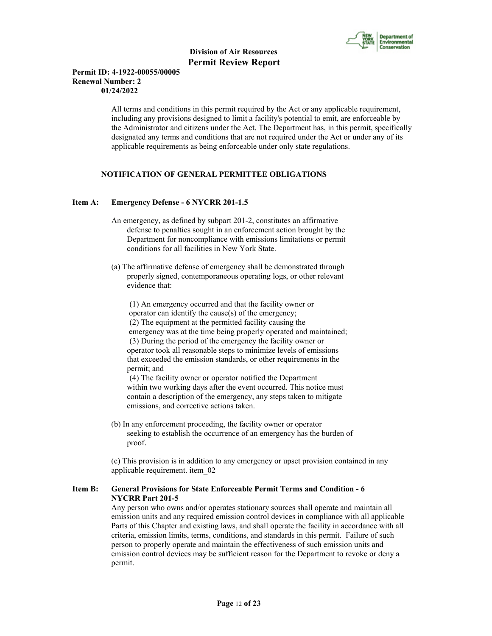

## **Permit ID: 4-1922-00055/00005 Renewal Number: 2 01/24/2022**

 All terms and conditions in this permit required by the Act or any applicable requirement, including any provisions designed to limit a facility's potential to emit, are enforceable by the Administrator and citizens under the Act. The Department has, in this permit, specifically designated any terms and conditions that are not required under the Act or under any of its applicable requirements as being enforceable under only state regulations.

# **NOTIFICATION OF GENERAL PERMITTEE OBLIGATIONS**

## **Item A: Emergency Defense - 6 NYCRR 201-1.5**

- An emergency, as defined by subpart 201-2, constitutes an affirmative defense to penalties sought in an enforcement action brought by the Department for noncompliance with emissions limitations or permit conditions for all facilities in New York State.
- (a) The affirmative defense of emergency shall be demonstrated through properly signed, contemporaneous operating logs, or other relevant evidence that:

 (1) An emergency occurred and that the facility owner or operator can identify the cause(s) of the emergency; (2) The equipment at the permitted facility causing the emergency was at the time being properly operated and maintained; (3) During the period of the emergency the facility owner or operator took all reasonable steps to minimize levels of emissions that exceeded the emission standards, or other requirements in the permit; and

 (4) The facility owner or operator notified the Department within two working days after the event occurred. This notice must contain a description of the emergency, any steps taken to mitigate emissions, and corrective actions taken.

 (b) In any enforcement proceeding, the facility owner or operator seeking to establish the occurrence of an emergency has the burden of proof.

 (c) This provision is in addition to any emergency or upset provision contained in any applicable requirement. item\_02

# **Item B: General Provisions for State Enforceable Permit Terms and Condition - 6 NYCRR Part 201-5**

 Any person who owns and/or operates stationary sources shall operate and maintain all emission units and any required emission control devices in compliance with all applicable Parts of this Chapter and existing laws, and shall operate the facility in accordance with all criteria, emission limits, terms, conditions, and standards in this permit. Failure of such person to properly operate and maintain the effectiveness of such emission units and emission control devices may be sufficient reason for the Department to revoke or deny a permit.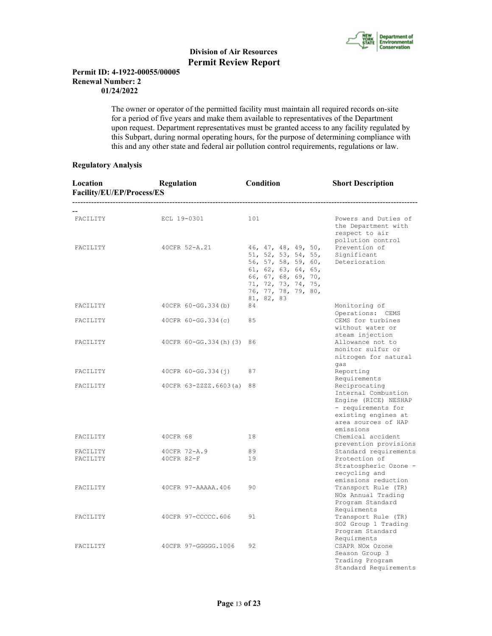

## **Permit ID: 4-1922-00055/00005 Renewal Number: 2 01/24/2022**

 The owner or operator of the permitted facility must maintain all required records on-site for a period of five years and make them available to representatives of the Department upon request. Department representatives must be granted access to any facility regulated by this Subpart, during normal operating hours, for the purpose of determining compliance with this and any other state and federal air pollution control requirements, regulations or law.

## **Regulatory Analysis**

| Location<br>Facility/EU/EP/Process/ES | <b>Regulation</b><br>-------------------------------------- | Condition                                                                                                                                                                   | <b>Short Description</b>                                                                                                                                      |
|---------------------------------------|-------------------------------------------------------------|-----------------------------------------------------------------------------------------------------------------------------------------------------------------------------|---------------------------------------------------------------------------------------------------------------------------------------------------------------|
| FACILITY                              | ECL 19-0301                                                 | 101                                                                                                                                                                         | Powers and Duties of<br>the Department with<br>respect to air<br>pollution control                                                                            |
| FACILITY                              | 40CFR 52-A.21                                               | 46, 47, 48, 49, 50,<br>51, 52, 53, 54, 55,<br>56, 57, 58, 59, 60,<br>61, 62, 63, 64, 65,<br>66, 67, 68, 69, 70,<br>71, 72, 73, 74, 75,<br>76, 77, 78, 79, 80,<br>81, 82, 83 | Prevention of<br>Significant<br>Deterioration                                                                                                                 |
| FACILITY                              | 40CFR 60-GG.334(b)                                          | 84                                                                                                                                                                          | Monitoring of<br>Operations: CEMS                                                                                                                             |
| FACILITY                              | $40CFR 60-GG.334(c)$                                        | 85                                                                                                                                                                          | CEMS for turbines<br>without water or<br>steam injection                                                                                                      |
| FACILITY                              | 40 CFR 60 - GG. 334 (h) (3) 86                              |                                                                                                                                                                             | Allowance not to<br>monitor sulfur or<br>nitrogen for natural<br>qas                                                                                          |
| FACILITY                              | 40CFR 60-GG.334(j)                                          | 87                                                                                                                                                                          | Reporting                                                                                                                                                     |
| FACILITY                              | 40CFR 63-ZZZZ.6603(a) 88                                    |                                                                                                                                                                             | Requirements<br>Reciprocating<br>Internal Combustion<br>Engine (RICE) NESHAP<br>- requirements for<br>existing engines at<br>area sources of HAP<br>emissions |
| FACILITY                              | 40CFR 68                                                    | 18                                                                                                                                                                          | Chemical accident<br>prevention provisions                                                                                                                    |
| FACILITY                              | 40CFR 72-A.9                                                | 89                                                                                                                                                                          | Standard requirements                                                                                                                                         |
| FACILITY                              | 40CFR 82-F                                                  | 19                                                                                                                                                                          | Protection of<br>Stratospheric Ozone -<br>recycling and<br>emissions reduction                                                                                |
| FACILITY                              | 40CFR 97-AAAAA.406                                          | 90                                                                                                                                                                          | Transport Rule (TR)<br>NOx Annual Trading<br>Program Standard                                                                                                 |
| FACILITY                              | 40CFR 97-CCCCC.606                                          | 91                                                                                                                                                                          | Requirments<br>Transport Rule (TR)<br>SO2 Group 1 Trading<br>Program Standard                                                                                 |
| FACILITY                              | 40CFR 97-GGGGG.1006                                         | 92                                                                                                                                                                          | Requirments<br>CSAPR NOx Ozone<br>Season Group 3<br>Trading Program<br>Standard Requirements                                                                  |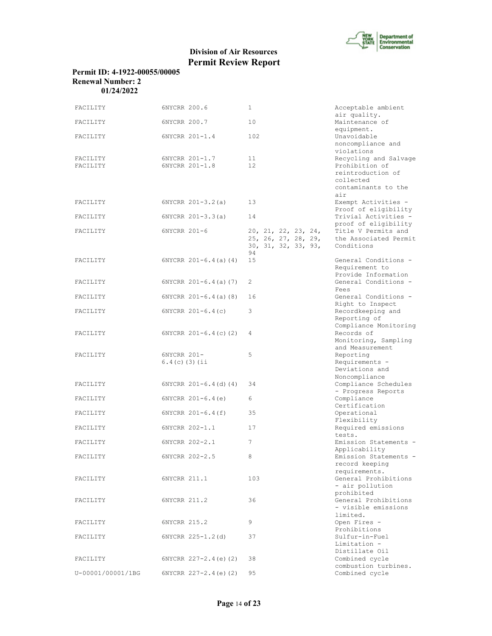

| Permit ID: 4-1922-00055/00005 |
|-------------------------------|
| <b>Renewal Number: 2</b>      |
| 01/24/2022                    |

| FACILITY             | 6NYCRR 200.6                     | 1                                                                 | Acceptable ambient                                                                                      |
|----------------------|----------------------------------|-------------------------------------------------------------------|---------------------------------------------------------------------------------------------------------|
| FACILITY             | 6NYCRR 200.7                     | 10                                                                | air quality.<br>Maintenance of                                                                          |
| FACILITY             | 6NYCRR 201-1.4                   | 102                                                               | equipment.<br>Unavoidable<br>noncompliance and<br>violations                                            |
| FACILITY<br>FACILITY | 6NYCRR 201-1.7<br>6NYCRR 201-1.8 | 11<br>12                                                          | Recycling and Salvage<br>Prohibition of<br>reintroduction of<br>collected<br>contaminants to the<br>air |
| FACILITY             | $6NYCRR 201-3.2(a)$              | 13                                                                | Exempt Activities -                                                                                     |
| FACILITY             | $6NYCRR 201-3.3(a)$              | 14                                                                | Proof of eligibility<br>Trivial Activities -<br>proof of eligibility                                    |
| FACILITY             | 6NYCRR 201-6                     | 20, 21, 22, 23, 24,<br>25, 26, 27, 28, 29,<br>30, 31, 32, 33, 93, | Title V Permits and<br>the Associated Permit<br>Conditions                                              |
| FACILITY             | $6NYCRR 201-6.4(a) (4)$          | 94<br>15                                                          | General Conditions -<br>Requirement to                                                                  |
| FACILITY             | $6NYCRR 201-6.4(a) (7)$          | 2                                                                 | Provide Information<br>General Conditions -                                                             |
| FACILITY             | $6NYCRR 201-6.4(a)$ (8)          | 16                                                                | Fees<br>General Conditions -                                                                            |
| FACILITY             | $6NYCRR$ $201-6.4(c)$            | 3                                                                 | Right to Inspect<br>Recordkeeping and<br>Reporting of                                                   |
| FACILITY             | $6NYCRR$ $201-6.4(c)$ (2)        | 4                                                                 | Compliance Monitoring<br>Records of<br>Monitoring, Sampling                                             |
| FACILITY             | 6NYCRR 201-<br>$6.4(c)$ (3) (ii  | 5                                                                 | and Measurement<br>Reporting<br>Requirements -<br>Deviations and                                        |
| FACILITY             | $6NYCRR 201-6.4(d) (4)$          | 34                                                                | Noncompliance<br>Compliance Schedules                                                                   |
| FACILITY             | $6NYCRR$ $201-6.4(e)$            | 6                                                                 | - Progress Reports<br>Compliance                                                                        |
| FACILITY             | $6NYCRR 201-6.4(f)$              | 35                                                                | Certification<br>Operational                                                                            |
| FACILITY             | 6NYCRR 202-1.1                   | 17                                                                | Flexibility<br>Required emissions<br>tests.                                                             |
| FACILITY             | 6NYCRR 202-2.1                   | 7                                                                 | Emission Statements -<br>Applicability                                                                  |
| FACILITY             | 6NYCRR 202-2.5                   | 8                                                                 | Emission Statements -<br>record keeping                                                                 |
| FACILITY             | 6NYCRR 211.1                     | 103                                                               | requirements.<br>General Prohibitions<br>- air pollution                                                |
| FACILITY             | 6NYCRR 211.2                     | 36                                                                | prohibited<br>General Prohibitions<br>- visible emissions                                               |
| FACILITY             | 6NYCRR 215.2                     | 9                                                                 | limited.<br>Open Fires -                                                                                |
| FACILITY             | 6NYCRR 225-1.2(d)                | 37                                                                | Prohibitions<br>Sulfur-in-Fuel<br>Limitation -                                                          |
| FACILITY             | $6NYCRR$ 227-2.4(e)(2)           | 38                                                                | Distillate Oil<br>Combined cycle                                                                        |
| U-00001/00001/1BG    | 6NYCRR 227-2.4 (e) (2)           | 95                                                                | combustion turbines.<br>Combined cycle                                                                  |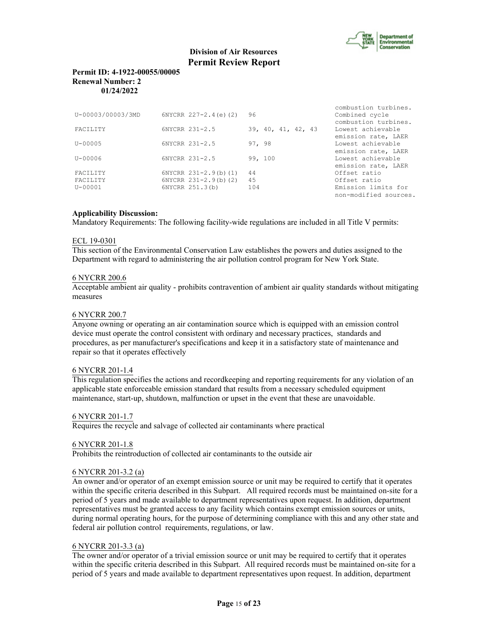

## **Permit ID: 4-1922-00055/00005 Renewal Number: 2 01/24/2022**

| U-00003/00003/3MD | $6NYCRR$ $227-2.4(e)$ (2)   | 96                 | combustion turbines.<br>Combined cycle<br>combustion turbines.  |
|-------------------|-----------------------------|--------------------|-----------------------------------------------------------------|
| <b>FACTLITY</b>   | 6NYCRR 231-2.5              | 39, 40, 41, 42, 43 | Lowest achievable                                               |
| $U - 00005$       | 6NYCRR 231-2.5              | 97, 98             | emission rate, LAER<br>Lowest achievable<br>emission rate, LAER |
| U-00006           | 6NYCRR 231-2.5              | 99, 100            | Lowest achievable<br>emission rate, LAER                        |
| <b>FACTLITY</b>   | 6NYCRR 231-2.9(b)(1)        | 44                 | Offset ratio                                                    |
| <b>FACTLITY</b>   | $6NYCRR$ $231-2.9(b)$ $(2)$ | 45                 | Offset ratio                                                    |
| $U - 00001$       | 6NYCRR 251.3(b)             | 104                | Emission limits for<br>non-modified sources.                    |

# **Applicability Discussion:**

Mandatory Requirements: The following facility-wide regulations are included in all Title V permits:

## ECL 19-0301

This section of the Environmental Conservation Law establishes the powers and duties assigned to the Department with regard to administering the air pollution control program for New York State.

## 6 NYCRR 200.6

Acceptable ambient air quality - prohibits contravention of ambient air quality standards without mitigating measures

# 6 NYCRR 200.7

Anyone owning or operating an air contamination source which is equipped with an emission control device must operate the control consistent with ordinary and necessary practices, standards and procedures, as per manufacturer's specifications and keep it in a satisfactory state of maintenance and repair so that it operates effectively

## 6 NYCRR 201-1.4

This regulation specifies the actions and recordkeeping and reporting requirements for any violation of an applicable state enforceable emission standard that results from a necessary scheduled equipment maintenance, start-up, shutdown, malfunction or upset in the event that these are unavoidable.

## 6 NYCRR 201-1.7

Requires the recycle and salvage of collected air contaminants where practical

## 6 NYCRR 201-1.8

Prohibits the reintroduction of collected air contaminants to the outside air

## 6 NYCRR 201-3.2 (a)

An owner and/or operator of an exempt emission source or unit may be required to certify that it operates within the specific criteria described in this Subpart. All required records must be maintained on-site for a period of 5 years and made available to department representatives upon request. In addition, department representatives must be granted access to any facility which contains exempt emission sources or units, during normal operating hours, for the purpose of determining compliance with this and any other state and federal air pollution control requirements, regulations, or law.

## 6 NYCRR 201-3.3 (a)

The owner and/or operator of a trivial emission source or unit may be required to certify that it operates within the specific criteria described in this Subpart. All required records must be maintained on-site for a period of 5 years and made available to department representatives upon request. In addition, department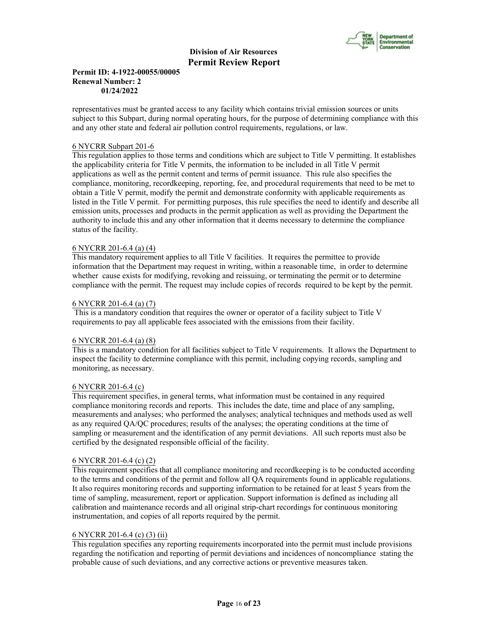

## **Permit ID: 4-1922-00055/00005 Renewal Number: 2 01/24/2022**

representatives must be granted access to any facility which contains trivial emission sources or units subject to this Subpart, during normal operating hours, for the purpose of determining compliance with this and any other state and federal air pollution control requirements, regulations, or law.

## 6 NYCRR Subpart 201-6

This regulation applies to those terms and conditions which are subject to Title V permitting. It establishes the applicability criteria for Title V permits, the information to be included in all Title V permit applications as well as the permit content and terms of permit issuance. This rule also specifies the compliance, monitoring, recordkeeping, reporting, fee, and procedural requirements that need to be met to obtain a Title V permit, modify the permit and demonstrate conformity with applicable requirements as listed in the Title V permit. For permitting purposes, this rule specifies the need to identify and describe all emission units, processes and products in the permit application as well as providing the Department the authority to include this and any other information that it deems necessary to determine the compliance status of the facility.

## 6 NYCRR 201-6.4 (a) (4)

This mandatory requirement applies to all Title V facilities. It requires the permittee to provide information that the Department may request in writing, within a reasonable time, in order to determine whether cause exists for modifying, revoking and reissuing, or terminating the permit or to determine compliance with the permit. The request may include copies of records required to be kept by the permit.

## 6 NYCRR 201-6.4 (a) (7)

 This is a mandatory condition that requires the owner or operator of a facility subject to Title V requirements to pay all applicable fees associated with the emissions from their facility.

# 6 NYCRR 201-6.4 (a) (8)

This is a mandatory condition for all facilities subject to Title V requirements. It allows the Department to inspect the facility to determine compliance with this permit, including copying records, sampling and monitoring, as necessary.

## 6 NYCRR 201-6.4 (c)

This requirement specifies, in general terms, what information must be contained in any required compliance monitoring records and reports. This includes the date, time and place of any sampling, measurements and analyses; who performed the analyses; analytical techniques and methods used as well as any required QA/QC procedures; results of the analyses; the operating conditions at the time of sampling or measurement and the identification of any permit deviations. All such reports must also be certified by the designated responsible official of the facility.

## 6 NYCRR 201-6.4 (c) (2)

This requirement specifies that all compliance monitoring and recordkeeping is to be conducted according to the terms and conditions of the permit and follow all QA requirements found in applicable regulations. It also requires monitoring records and supporting information to be retained for at least 5 years from the time of sampling, measurement, report or application. Support information is defined as including all calibration and maintenance records and all original strip-chart recordings for continuous monitoring instrumentation, and copies of all reports required by the permit.

# 6 NYCRR 201-6.4 (c) (3) (ii)

This regulation specifies any reporting requirements incorporated into the permit must include provisions regarding the notification and reporting of permit deviations and incidences of noncompliance stating the probable cause of such deviations, and any corrective actions or preventive measures taken.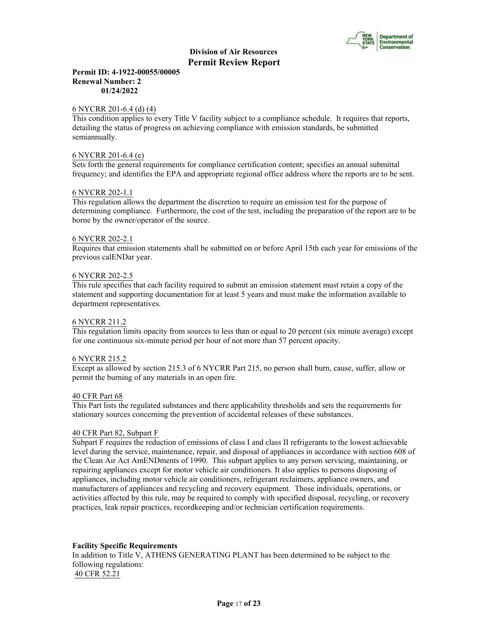

## **Permit ID: 4-1922-00055/00005 Renewal Number: 2 01/24/2022**

#### 6 NYCRR 201-6.4 (d) (4)

This condition applies to every Title V facility subject to a compliance schedule. It requires that reports, detailing the status of progress on achieving compliance with emission standards, be submitted semiannually.

#### 6 NYCRR 201-6.4 (e)

Sets forth the general requirements for compliance certification content; specifies an annual submittal frequency; and identifies the EPA and appropriate regional office address where the reports are to be sent.

#### 6 NYCRR 202-1.1

This regulation allows the department the discretion to require an emission test for the purpose of determining compliance. Furthermore, the cost of the test, including the preparation of the report are to be borne by the owner/operator of the source.

#### 6 NYCRR 202-2.1

Requires that emission statements shall be submitted on or before April 15th each year for emissions of the previous calENDar year.

#### 6 NYCRR 202-2.5

This rule specifies that each facility required to submit an emission statement must retain a copy of the statement and supporting documentation for at least 5 years and must make the information available to department representatives.

#### 6 NYCRR 211.2

This regulation limits opacity from sources to less than or equal to 20 percent (six minute average) except for one continuous six-minute period per hour of not more than 57 percent opacity.

## 6 NYCRR 215.2

Except as allowed by section 215.3 of 6 NYCRR Part 215, no person shall burn, cause, suffer, allow or permit the burning of any materials in an open fire.

#### 40 CFR Part 68

This Part lists the regulated substances and there applicability thresholds and sets the requirements for stationary sources concerning the prevention of accidental releases of these substances.

#### 40 CFR Part 82, Subpart F

Subpart F requires the reduction of emissions of class I and class II refrigerants to the lowest achievable level during the service, maintenance, repair, and disposal of appliances in accordance with section 608 of the Clean Air Act AmENDments of 1990. This subpart applies to any person servicing, maintaining, or repairing appliances except for motor vehicle air conditioners. It also applies to persons disposing of appliances, including motor vehicle air conditioners, refrigerant reclaimers, appliance owners, and manufacturers of appliances and recycling and recovery equipment. Those individuals, operations, or activities affected by this rule, may be required to comply with specified disposal, recycling, or recovery practices, leak repair practices, recordkeeping and/or technician certification requirements.

## **Facility Specific Requirements**

In addition to Title V, ATHENS GENERATING PLANT has been determined to be subject to the following regulations: 40 CFR 52.21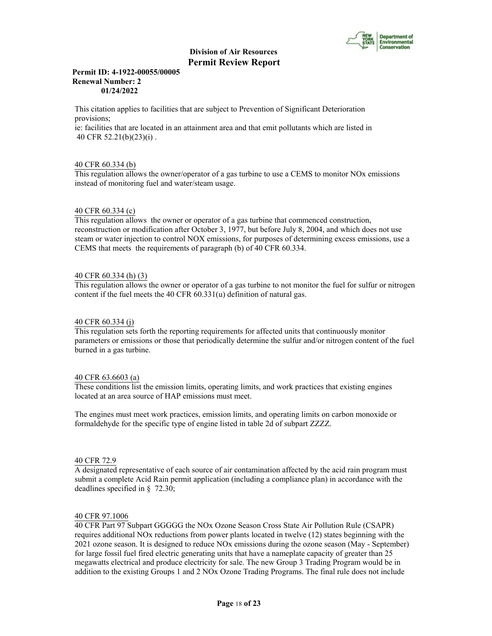

## **Permit ID: 4-1922-00055/00005 Renewal Number: 2 01/24/2022**

This citation applies to facilities that are subject to Prevention of Significant Deterioration provisions;

ie: facilities that are located in an attainment area and that emit pollutants which are listed in 40 CFR 52.21(b)(23)(i) .

## 40 CFR 60.334 (b)

This regulation allows the owner/operator of a gas turbine to use a CEMS to monitor NOx emissions instead of monitoring fuel and water/steam usage.

## 40 CFR 60.334 (c)

This regulation allows the owner or operator of a gas turbine that commenced construction, reconstruction or modification after October 3, 1977, but before July 8, 2004, and which does not use steam or water injection to control NOX emissions, for purposes of determining excess emissions, use a CEMS that meets the requirements of paragraph (b) of 40 CFR 60.334.

## 40 CFR 60.334 (h) (3)

This regulation allows the owner or operator of a gas turbine to not monitor the fuel for sulfur or nitrogen content if the fuel meets the 40 CFR 60.331(u) definition of natural gas.

## 40 CFR 60.334 (j)

This regulation sets forth the reporting requirements for affected units that continuously monitor parameters or emissions or those that periodically determine the sulfur and/or nitrogen content of the fuel burned in a gas turbine.

## 40 CFR 63.6603 (a)

These conditions list the emission limits, operating limits, and work practices that existing engines located at an area source of HAP emissions must meet.

The engines must meet work practices, emission limits, and operating limits on carbon monoxide or formaldehyde for the specific type of engine listed in table 2d of subpart ZZZZ.

#### 40 CFR 72.9

A designated representative of each source of air contamination affected by the acid rain program must submit a complete Acid Rain permit application (including a compliance plan) in accordance with the deadlines specified in § 72.30;

## 40 CFR 97.1006

40 CFR Part 97 Subpart GGGGG the NOx Ozone Season Cross State Air Pollution Rule (CSAPR) requires additional NOx reductions from power plants located in twelve (12) states beginning with the 2021 ozone season. It is designed to reduce NOx emissions during the ozone season (May - September) for large fossil fuel fired electric generating units that have a nameplate capacity of greater than 25 megawatts electrical and produce electricity for sale. The new Group 3 Trading Program would be in addition to the existing Groups 1 and 2 NOx Ozone Trading Programs. The final rule does not include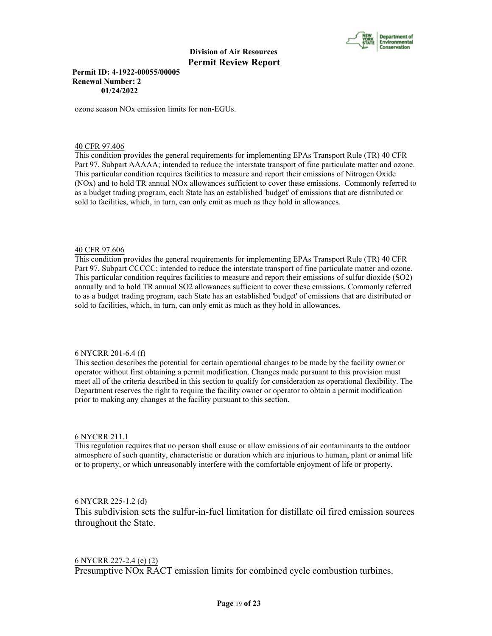

## **Permit ID: 4-1922-00055/00005 Renewal Number: 2 01/24/2022**

ozone season NOx emission limits for non-EGUs.

## 40 CFR 97.406

This condition provides the general requirements for implementing EPAs Transport Rule (TR) 40 CFR Part 97, Subpart AAAAA; intended to reduce the interstate transport of fine particulate matter and ozone. This particular condition requires facilities to measure and report their emissions of Nitrogen Oxide (NOx) and to hold TR annual NOx allowances sufficient to cover these emissions. Commonly referred to as a budget trading program, each State has an established 'budget' of emissions that are distributed or sold to facilities, which, in turn, can only emit as much as they hold in allowances.

## 40 CFR 97.606

This condition provides the general requirements for implementing EPAs Transport Rule (TR) 40 CFR Part 97, Subpart CCCCC; intended to reduce the interstate transport of fine particulate matter and ozone. This particular condition requires facilities to measure and report their emissions of sulfur dioxide (SO2) annually and to hold TR annual SO2 allowances sufficient to cover these emissions. Commonly referred to as a budget trading program, each State has an established 'budget' of emissions that are distributed or sold to facilities, which, in turn, can only emit as much as they hold in allowances.

## 6 NYCRR 201-6.4 (f)

This section describes the potential for certain operational changes to be made by the facility owner or operator without first obtaining a permit modification. Changes made pursuant to this provision must meet all of the criteria described in this section to qualify for consideration as operational flexibility. The Department reserves the right to require the facility owner or operator to obtain a permit modification prior to making any changes at the facility pursuant to this section.

## 6 NYCRR 211.1

This regulation requires that no person shall cause or allow emissions of air contaminants to the outdoor atmosphere of such quantity, characteristic or duration which are injurious to human, plant or animal life or to property, or which unreasonably interfere with the comfortable enjoyment of life or property.

# 6 NYCRR 225-1.2 (d)

This subdivision sets the sulfur-in-fuel limitation for distillate oil fired emission sources throughout the State.

# 6 NYCRR 227-2.4 (e) (2)

Presumptive NOx RACT emission limits for combined cycle combustion turbines.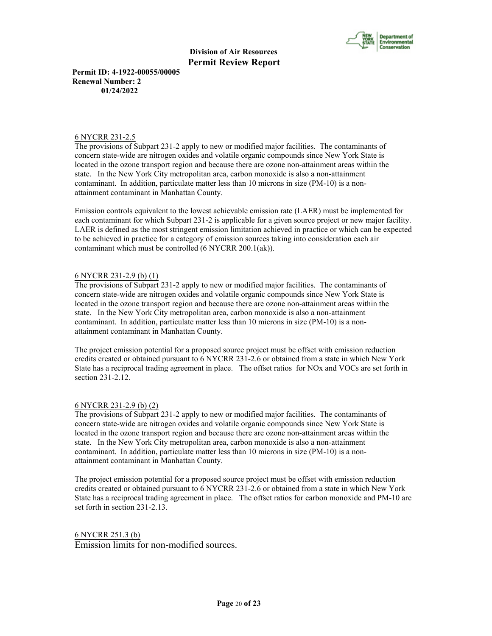

**Permit ID: 4-1922-00055/00005 Renewal Number: 2 01/24/2022**

## 6 NYCRR 231-2.5

The provisions of Subpart 231-2 apply to new or modified major facilities. The contaminants of concern state-wide are nitrogen oxides and volatile organic compounds since New York State is located in the ozone transport region and because there are ozone non-attainment areas within the state. In the New York City metropolitan area, carbon monoxide is also a non-attainment contaminant. In addition, particulate matter less than 10 microns in size (PM-10) is a nonattainment contaminant in Manhattan County.

Emission controls equivalent to the lowest achievable emission rate (LAER) must be implemented for each contaminant for which Subpart 231-2 is applicable for a given source project or new major facility. LAER is defined as the most stringent emission limitation achieved in practice or which can be expected to be achieved in practice for a category of emission sources taking into consideration each air contaminant which must be controlled (6 NYCRR 200.1(ak)).

# 6 NYCRR 231-2.9 (b) (1)

The provisions of Subpart 231-2 apply to new or modified major facilities. The contaminants of concern state-wide are nitrogen oxides and volatile organic compounds since New York State is located in the ozone transport region and because there are ozone non-attainment areas within the state. In the New York City metropolitan area, carbon monoxide is also a non-attainment contaminant. In addition, particulate matter less than 10 microns in size (PM-10) is a nonattainment contaminant in Manhattan County.

The project emission potential for a proposed source project must be offset with emission reduction credits created or obtained pursuant to 6 NYCRR 231-2.6 or obtained from a state in which New York State has a reciprocal trading agreement in place. The offset ratios for NOx and VOCs are set forth in section 231-2.12.

## 6 NYCRR 231-2.9 (b) (2)

The provisions of Subpart 231-2 apply to new or modified major facilities. The contaminants of concern state-wide are nitrogen oxides and volatile organic compounds since New York State is located in the ozone transport region and because there are ozone non-attainment areas within the state. In the New York City metropolitan area, carbon monoxide is also a non-attainment contaminant. In addition, particulate matter less than 10 microns in size (PM-10) is a nonattainment contaminant in Manhattan County.

The project emission potential for a proposed source project must be offset with emission reduction credits created or obtained pursuant to 6 NYCRR 231-2.6 or obtained from a state in which New York State has a reciprocal trading agreement in place. The offset ratios for carbon monoxide and PM-10 are set forth in section 231-2.13.

6 NYCRR 251.3 (b) Emission limits for non-modified sources.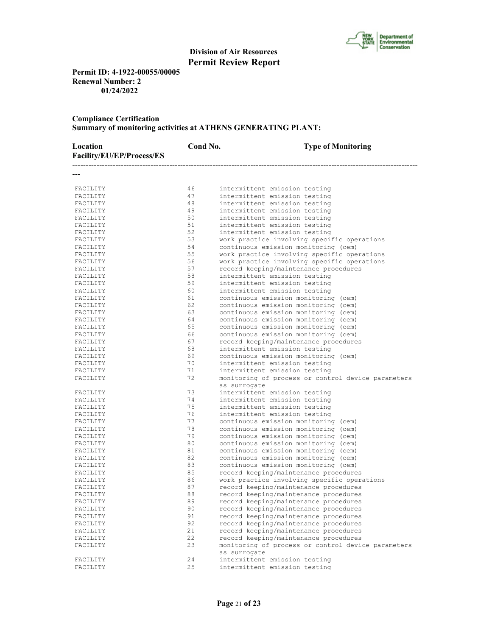

**Permit ID: 4-1922-00055/00005 Renewal Number: 2 01/24/2022**

# **Compliance Certification Summary of monitoring activities at ATHENS GENERATING PLANT:**

| Location<br>Facility/EU/EP/Process/ES | Cond No. | <b>Type of Monitoring</b>                                          |
|---------------------------------------|----------|--------------------------------------------------------------------|
|                                       |          |                                                                    |
| FACILITY                              | 46       | intermittent emission testing                                      |
| FACILITY                              | 47       | intermittent emission testing                                      |
| FACILITY                              | 48       | intermittent emission testing                                      |
| FACILITY                              | 49       | intermittent emission testing                                      |
| FACILITY                              | 50       | intermittent emission testing                                      |
| FACILITY                              | 51       | intermittent emission testing                                      |
| FACILITY                              | 52       | intermittent emission testing                                      |
| FACILITY                              | 53       | work practice involving specific operations                        |
| FACILITY                              | 54       | continuous emission monitoring (cem)                               |
| FACILITY                              | 55       | work practice involving specific operations                        |
| FACILITY                              | 56       | work practice involving specific operations                        |
| FACILITY                              | 57       | record keeping/maintenance procedures                              |
| FACILITY                              | 58       | intermittent emission testing                                      |
| FACILITY                              | 59       | intermittent emission testing                                      |
| FACILITY                              | 60       | intermittent emission testing                                      |
| FACILITY                              | 61       | continuous emission monitoring (cem)                               |
| FACILITY                              | 62       | continuous emission monitoring (cem)                               |
| FACILITY                              | 63       | continuous emission monitoring (cem)                               |
| FACILITY                              | 64       | continuous emission monitoring (cem)                               |
| FACILITY                              | 65       | continuous emission monitoring (cem)                               |
| FACILITY                              | 66       | continuous emission monitoring (cem)                               |
| FACILITY                              | 67       | record keeping/maintenance procedures                              |
| FACILITY                              | 68       | intermittent emission testing                                      |
| FACILITY                              | 69       | continuous emission monitoring (cem)                               |
| FACILITY                              | 70       | intermittent emission testing                                      |
| FACILITY                              | 71       | intermittent emission testing                                      |
| FACILITY                              | 72       | monitoring of process or control device parameters                 |
|                                       |          | as surrogate                                                       |
| FACILITY                              | 73       | intermittent emission testing                                      |
| FACILITY                              | 74       | intermittent emission testing                                      |
| FACILITY                              | 75       | intermittent emission testing                                      |
| FACILITY                              | 76       | intermittent emission testing                                      |
| FACILITY                              | 77       | continuous emission monitoring (cem)                               |
| FACILITY                              | 78       | continuous emission monitoring (cem)                               |
| FACILITY                              | 79       | continuous emission monitoring (cem)                               |
| FACILITY                              | 80       | continuous emission monitoring (cem)                               |
| FACILITY                              | 81       | continuous emission monitoring (cem)                               |
| FACILITY                              | 82       | continuous emission monitoring (cem)                               |
| FACILITY                              | 83       | continuous emission monitoring (cem)                               |
| FACILITY                              | 85       | record keeping/maintenance procedures                              |
| FACILITY                              | 86       | work practice involving specific operations                        |
| FACILITY                              | 87       | record keeping/maintenance procedures                              |
| FACILITY                              | 88       | record keeping/maintenance procedures                              |
| FACILITY                              | 89       | record keeping/maintenance procedures                              |
| FACILITY                              | 90       | record keeping/maintenance procedures                              |
| FACILITY                              | 91       | record keeping/maintenance procedures                              |
| FACILITY                              | 92       | record keeping/maintenance procedures                              |
| FACILITY                              | 21       | record keeping/maintenance procedures                              |
| FACILITY                              | 22       | record keeping/maintenance procedures                              |
| FACILITY                              | 23       | monitoring of process or control device parameters<br>as surrogate |
| FACILITY                              | 24       | intermittent emission testing                                      |
| FACILITY                              | 25       | intermittent emission testing                                      |
|                                       |          |                                                                    |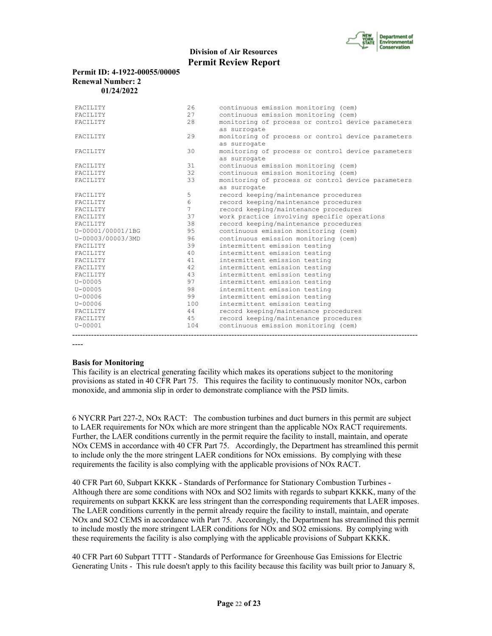

#### **Permit ID: 4-1922-00055/00005 Renewal Number: 2 01/24/2022**

| FACILITY          | 2.6             | continuous emission monitoring (cem)               |
|-------------------|-----------------|----------------------------------------------------|
| <b>FACTLITY</b>   | 2.7             | continuous emission monitoring (cem)               |
| FACILITY          | 28              | monitoring of process or control device parameters |
|                   |                 | as surrogate                                       |
| FACILITY          | 29              | monitoring of process or control device parameters |
|                   |                 | as surrogate                                       |
| FACILITY          | 30              | monitoring of process or control device parameters |
|                   |                 | as surrogate                                       |
| FACILITY          | 31              | continuous emission monitoring (cem)               |
| <b>FACTLITY</b>   | 32              | continuous emission monitoring (cem)               |
| FACILITY          | 33              | monitoring of process or control device parameters |
|                   |                 | as surrogate                                       |
| <b>FACTLITY</b>   | 5               | record keeping/maintenance procedures              |
| <b>FACTLITY</b>   | 6               | record keeping/maintenance procedures              |
| <b>FACTLITY</b>   | $7\phantom{.0}$ | record keeping/maintenance procedures              |
| FACILITY          | 37              | work practice involving specific operations        |
| <b>FACTLITY</b>   | 38              | record keeping/maintenance procedures              |
| U-00001/00001/1BG | 95              | continuous emission monitoring (cem)               |
| U-00003/00003/3MD | 96              | continuous emission monitoring (cem)               |
| <b>FACTLITY</b>   | 39              | intermittent emission testing                      |
| <b>FACTLITY</b>   | 40              | intermittent emission testing                      |
| FACILITY          | 41              | intermittent emission testing                      |
| <b>FACTLITY</b>   | 42              | intermittent emission testing                      |
| FACILITY          | 43              | intermittent emission testing                      |
| $U - 00005$       | 97              | intermittent emission testing                      |
| $U - 00005$       | 98              | intermittent emission testing                      |
| $U - 00006$       | 99              | intermittent emission testing                      |
| $U - 00006$       | 100             | intermittent emission testing                      |
| <b>FACTLITY</b>   | 44              | record keeping/maintenance procedures              |
| FACILITY          | 45              | record keeping/maintenance procedures              |
| $U - 00001$       | 104             | continuous emission monitoring (cem)               |
|                   |                 |                                                    |

----

## **Basis for Monitoring**

This facility is an electrical generating facility which makes its operations subject to the monitoring provisions as stated in 40 CFR Part 75. This requires the facility to continuously monitor NOx, carbon monoxide, and ammonia slip in order to demonstrate compliance with the PSD limits.

6 NYCRR Part 227-2, NOx RACT: The combustion turbines and duct burners in this permit are subject to LAER requirements for NOx which are more stringent than the applicable NOx RACT requirements. Further, the LAER conditions currently in the permit require the facility to install, maintain, and operate NOx CEMS in accordance with 40 CFR Part 75. Accordingly, the Department has streamlined this permit to include only the the more stringent LAER conditions for NOx emissions. By complying with these requirements the facility is also complying with the applicable provisions of NOx RACT.

40 CFR Part 60, Subpart KKKK - Standards of Performance for Stationary Combustion Turbines - Although there are some conditions with NOx and SO2 limits with regards to subpart KKKK, many of the requirements on subpart KKKK are less stringent than the corresponding requirements that LAER imposes. The LAER conditions currently in the permit already require the facility to install, maintain, and operate NOx and SO2 CEMS in accordance with Part 75. Accordingly, the Department has streamlined this permit to include mostly the more stringent LAER conditions for NOx and SO2 emissions. By complying with these requirements the facility is also complying with the applicable provisions of Subpart KKKK.

40 CFR Part 60 Subpart TTTT - Standards of Performance for Greenhouse Gas Emissions for Electric Generating Units - This rule doesn't apply to this facility because this facility was built prior to January 8,